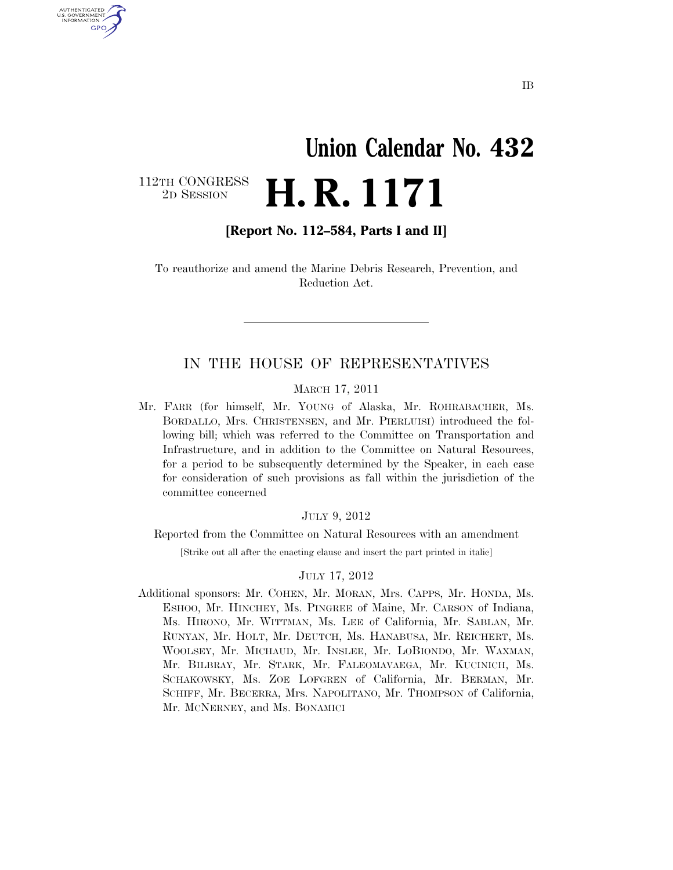# **Union Calendar No. 432**  2D SESSION **H. R. 1171**

112TH CONGRESS<br>2D SESSION

U.S. GOVERNMENT GPO

**[Report No. 112–584, Parts I and II]** 

To reauthorize and amend the Marine Debris Research, Prevention, and Reduction Act.

#### IN THE HOUSE OF REPRESENTATIVES

#### MARCH 17, 2011

Mr. FARR (for himself, Mr. YOUNG of Alaska, Mr. ROHRABACHER, Ms. BORDALLO, Mrs. CHRISTENSEN, and Mr. PIERLUISI) introduced the following bill; which was referred to the Committee on Transportation and Infrastructure, and in addition to the Committee on Natural Resources, for a period to be subsequently determined by the Speaker, in each case for consideration of such provisions as fall within the jurisdiction of the committee concerned

#### JULY 9, 2012

Reported from the Committee on Natural Resources with an amendment

[Strike out all after the enacting clause and insert the part printed in italic]

#### JULY 17, 2012

Additional sponsors: Mr. COHEN, Mr. MORAN, Mrs. CAPPS, Mr. HONDA, Ms. ESHOO, Mr. HINCHEY, Ms. PINGREE of Maine, Mr. CARSON of Indiana, Ms. HIRONO, Mr. WITTMAN, Ms. LEE of California, Mr. SABLAN, Mr. RUNYAN, Mr. HOLT, Mr. DEUTCH, Ms. HANABUSA, Mr. REICHERT, Ms. WOOLSEY, Mr. MICHAUD, Mr. INSLEE, Mr. LOBIONDO, Mr. WAXMAN, Mr. BILBRAY, Mr. STARK, Mr. FALEOMAVAEGA, Mr. KUCINICH, Ms. SCHAKOWSKY, Ms. ZOE LOFGREN of California, Mr. BERMAN, Mr. SCHIFF, Mr. BECERRA, Mrs. NAPOLITANO, Mr. THOMPSON of California, Mr. MCNERNEY, and Ms. BONAMICI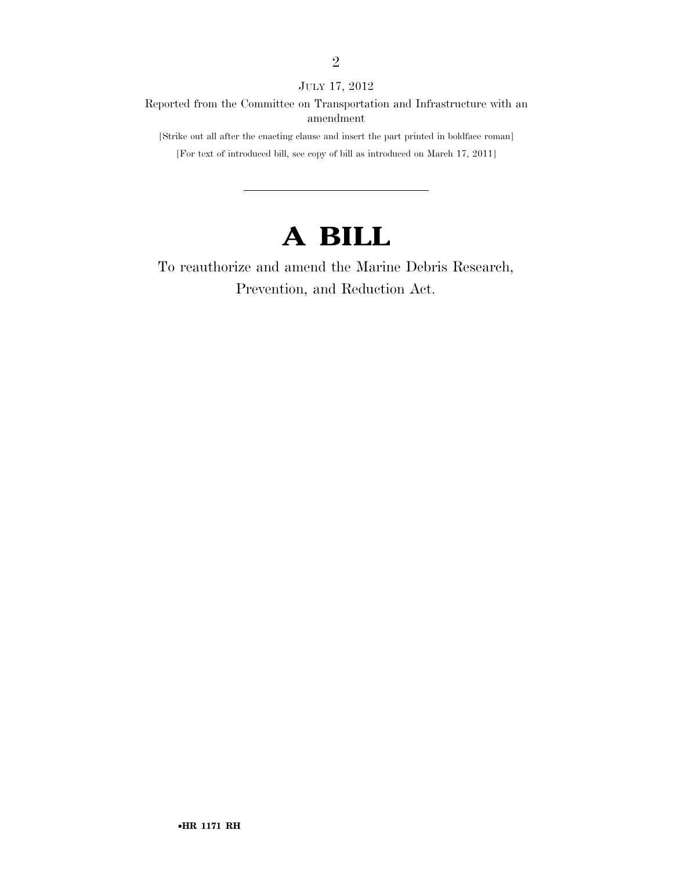JULY 17, 2012

Reported from the Committee on Transportation and Infrastructure with an amendment

[Strike out all after the enacting clause and insert the part printed in boldface roman]

[For text of introduced bill, see copy of bill as introduced on March 17, 2011]

## **A BILL**

To reauthorize and amend the Marine Debris Research, Prevention, and Reduction Act.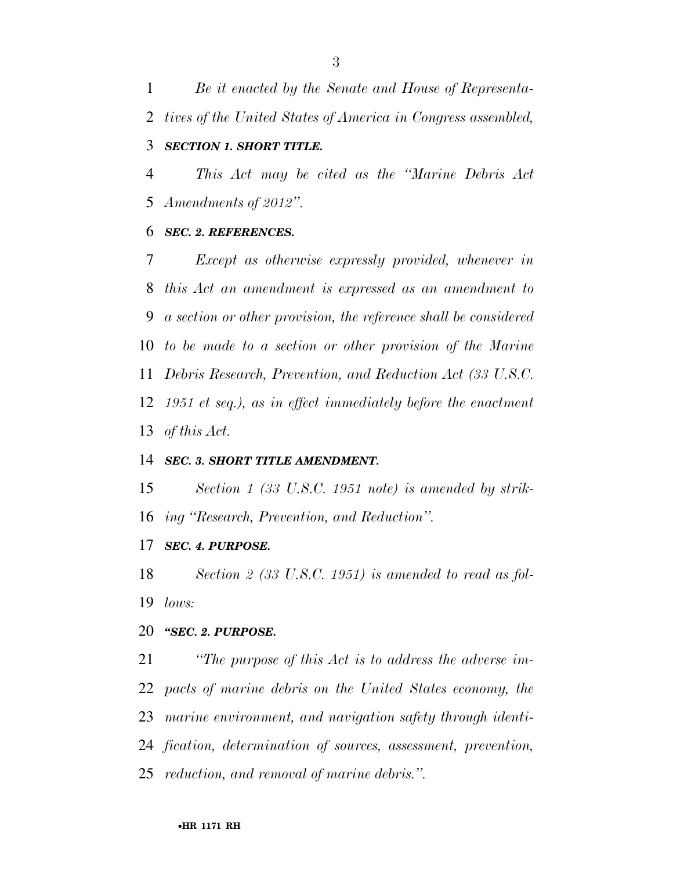*Be it enacted by the Senate and House of Representa- tives of the United States of America in Congress assembled, SECTION 1. SHORT TITLE.* 

 *This Act may be cited as the ''Marine Debris Act Amendments of 2012''.* 

#### *SEC. 2. REFERENCES.*

 *Except as otherwise expressly provided, whenever in this Act an amendment is expressed as an amendment to a section or other provision, the reference shall be considered to be made to a section or other provision of the Marine Debris Research, Prevention, and Reduction Act (33 U.S.C. 1951 et seq.), as in effect immediately before the enactment of this Act.* 

#### *SEC. 3. SHORT TITLE AMENDMENT.*

 *Section 1 (33 U.S.C. 1951 note) is amended by strik-ing ''Research, Prevention, and Reduction''.* 

### *SEC. 4. PURPOSE.*

 *Section 2 (33 U.S.C. 1951) is amended to read as fol-lows:* 

### *''SEC. 2. PURPOSE.*

 *''The purpose of this Act is to address the adverse im- pacts of marine debris on the United States economy, the marine environment, and navigation safety through identi- fication, determination of sources, assessment, prevention, reduction, and removal of marine debris.''.*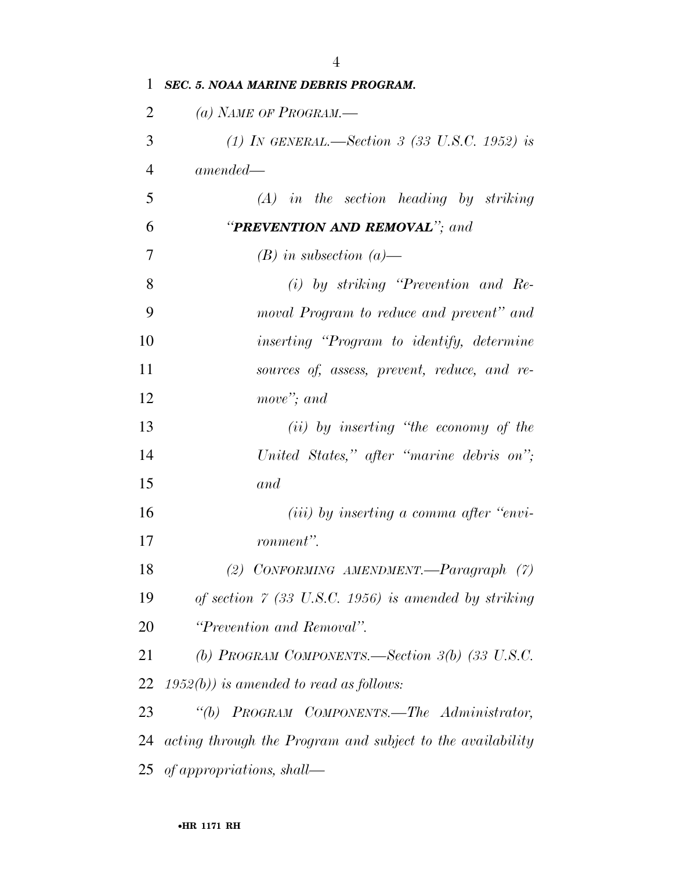| 1              | <b>SEC. 5. NOAA MARINE DEBRIS PROGRAM.</b>                    |
|----------------|---------------------------------------------------------------|
| $\overline{2}$ | (a) NAME OF PROGRAM.—                                         |
| 3              | (1) IN GENERAL.—Section 3 (33 U.S.C. 1952) is                 |
| $\overline{4}$ | $amended -$                                                   |
| 5              | $(A)$ in the section heading by striking                      |
| 6              | "PREVENTION AND REMOVAL"; and                                 |
| 7              | $(B)$ in subsection $(a)$ —                                   |
| 8              | $(i)$ by striking "Prevention and Re-                         |
| 9              | moval Program to reduce and prevent" and                      |
| 10             | inserting "Program to identify, determine                     |
| 11             | sources of, assess, prevent, reduce, and re-                  |
| 12             | move"; and                                                    |
| 13             | $(ii)$ by inserting "the economy of the                       |
| 14             | United States," after "marine debris on";                     |
| 15             | and                                                           |
| 16             | $(iii)$ by inserting a comma after "envi-                     |
| 17             | ronment".                                                     |
| 18             | (2) CONFORMING AMENDMENT.—Paragraph (7)                       |
| 19             | of section $\ddot{7}$ (33 U.S.C. 1956) is amended by striking |
| 20             | "Prevention and Removal".                                     |
| 21             | (b) PROGRAM COMPONENTS.—Section $3(b)$ (33 U.S.C.             |
| 22             | $1952(b)$ ) is amended to read as follows:                    |
| 23             | "(b) PROGRAM COMPONENTS.—The Administrator,                   |
| 24             | acting through the Program and subject to the availability    |
|                | 25 of appropriations, shall—                                  |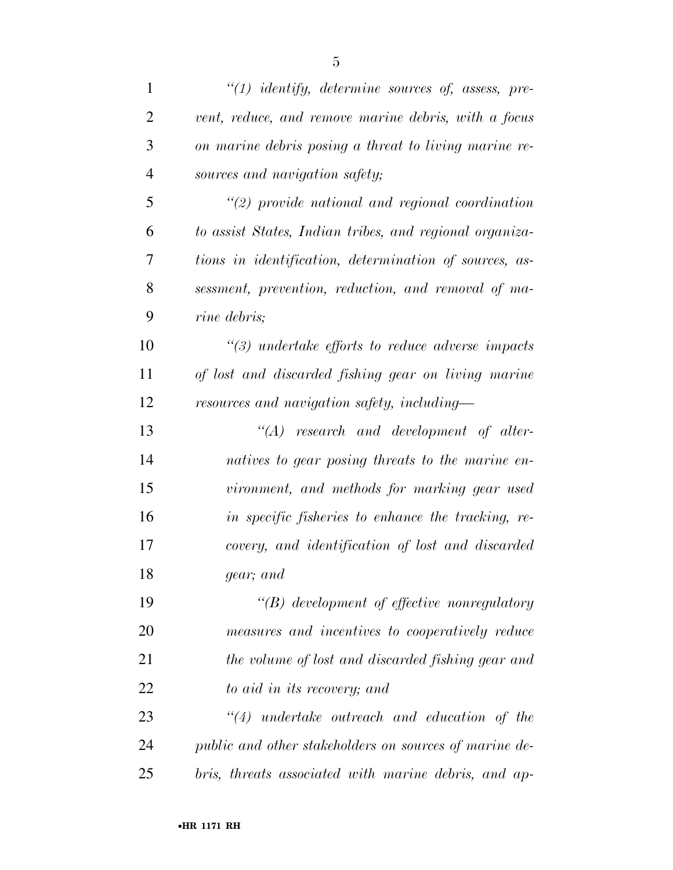| $\mathbf{1}$   | $\lq(1)$ identify, determine sources of, assess, pre-   |
|----------------|---------------------------------------------------------|
| $\overline{2}$ | vent, reduce, and remove marine debris, with a focus    |
| 3              | on marine debris posing a threat to living marine re-   |
| $\overline{4}$ | sources and navigation safety;                          |
| 5              | $\lq(2)$ provide national and regional coordination     |
| 6              | to assist States, Indian tribes, and regional organiza- |
| 7              | tions in identification, determination of sources, as-  |
| 8              | sessment, prevention, reduction, and removal of ma-     |
| 9              | rine debris;                                            |
| 10             | $\lq(3)$ undertake efforts to reduce adverse impacts    |
| 11             | of lost and discarded fishing gear on living marine     |
| 12             | resources and navigation safety, including—             |
| 13             | $"(A)$ research and development of alter-               |
| 14             | natives to gear posing threats to the marine en-        |
| 15             | vironment, and methods for marking gear used            |
| 16             | in specific fisheries to enhance the tracking, re-      |
| 17             | covery, and identification of lost and discarded        |
| 18             | gear; and                                               |
| 19             | $\lq\lq(B)$ development of effective nonregulatory      |
| 20             | measures and incentives to cooperatively reduce         |
| 21             | the volume of lost and discarded fishing gear and       |
| 22             | to aid in its recovery; and                             |
| 23             | $"(4)$ undertake outreach and education of the          |
| 24             | public and other stakeholders on sources of marine de-  |
| 25             | bris, threats associated with marine debris, and ap-    |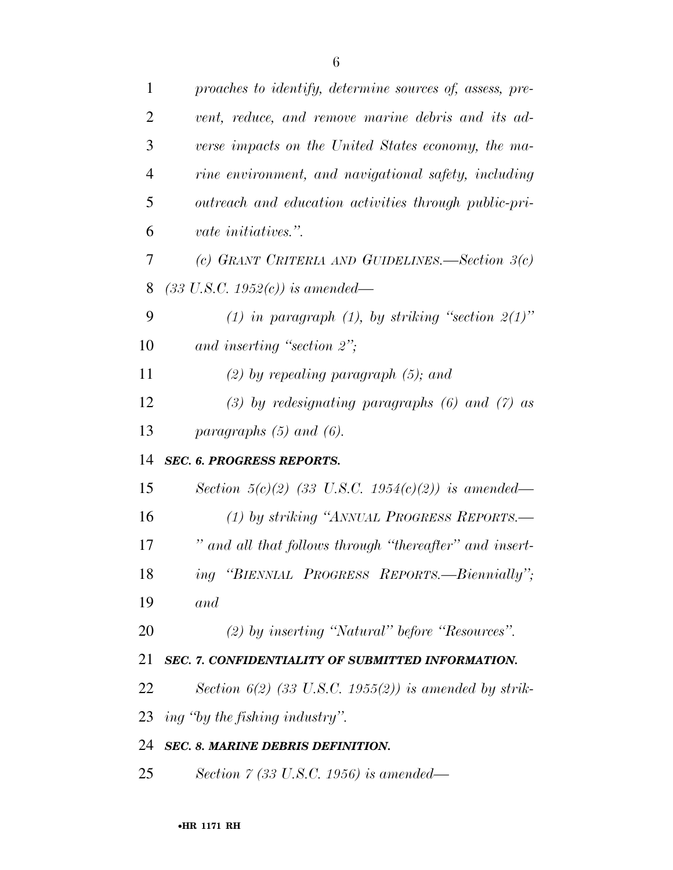| proaches to identify, determine sources of, assess, pre- |
|----------------------------------------------------------|
| vent, reduce, and remove marine debris and its ad-       |
| verse impacts on the United States economy, the ma-      |
| rine environment, and navigational safety, including     |
| outreach and education activities through public-pri-    |
| <i>vate initiatives.</i> ".                              |
| (c) GRANT CRITERIA AND GUIDELINES.—Section $3(c)$        |
| $(33 \text{ U.S.C. } 1952(c))$ is amended—               |
| (1) in paragraph (1), by striking "section $2(1)$ "      |
| and inserting "section $2$ ";                            |
| $(2)$ by repealing paragraph $(5)$ ; and                 |
| $(3)$ by redesignating paragraphs $(6)$ and $(7)$ as     |
| paragraphs $(5)$ and $(6)$ .                             |
| <b>SEC. 6. PROGRESS REPORTS.</b>                         |
| Section $5(c)(2)$ (33 U.S.C. 1954(c)(2)) is amended—     |
| (1) by striking "ANNUAL PROGRESS REPORTS.—               |
| " and all that follows through "thereafter" and insert-  |
| ing "BIENNIAL PROGRESS REPORTS.—Biennially";             |
| and                                                      |
| $(2)$ by inserting "Natural" before "Resources".         |
| SEC. 7. CONFIDENTIALITY OF SUBMITTED INFORMATION.        |
|                                                          |
| Section $6(2)$ (33 U.S.C. 1955(2)) is amended by strik-  |
| ing "by the fishing industry".                           |
| <b>SEC. 8. MARINE DEBRIS DEFINITION.</b>                 |
|                                                          |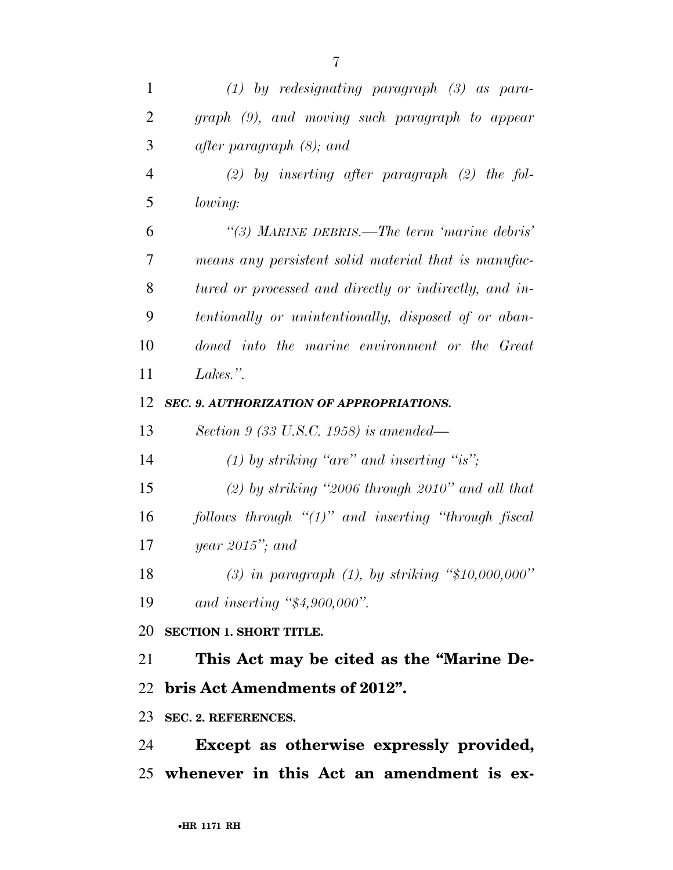| 1              | $(1)$ by redesignating paragraph $(3)$ as para-         |
|----------------|---------------------------------------------------------|
| $\overline{2}$ | graph (9), and moving such paragraph to appear          |
| 3              | after paragraph $(8)$ ; and                             |
| $\overline{4}$ | $(2)$ by inserting after paragraph $(2)$ the fol-       |
| 5              | lowing:                                                 |
| 6              | "(3) MARINE DEBRIS.—The term 'marine debris'            |
| 7              | means any persistent solid material that is manufac-    |
| 8              | tured or processed and directly or indirectly, and in-  |
| 9              | tentionally or unintentionally, disposed of or aban-    |
| 10             | doned into the marine environment or the Great          |
| 11             | Lakes.".                                                |
| 12             | SEC. 9. AUTHORIZATION OF APPROPRIATIONS.                |
| 13             | Section 9 (33 U.S.C. 1958) is amended—                  |
| 14             | $(1)$ by striking "are" and inserting "is";             |
| 15             | $(2)$ by striking "2006 through 2010" and all that      |
| 16             | follows through " $(1)$ " and inserting "through fiscal |
| 17             | year $2015$ "; and                                      |
| 18             | (3) in paragraph $(1)$ , by striking "\$10,000,000"     |
| 19             | and inserting $\frac{4}{54,900,000}$ .                  |
|                | 20 SECTION 1. SHORT TITLE.                              |
| 21             | This Act may be cited as the "Marine De-                |
|                | 22 bris Act Amendments of 2012".                        |
|                | 23 SEC. 2. REFERENCES.                                  |
| 24             | Except as otherwise expressly provided,                 |
|                | 25 whenever in this Act an amendment is ex-             |
|                |                                                         |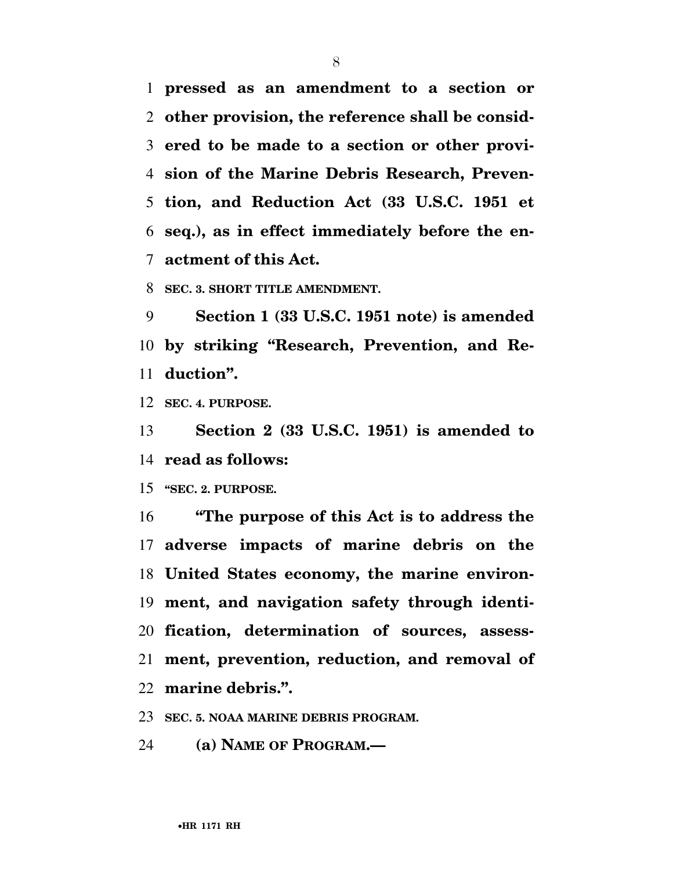**pressed as an amendment to a section or other provision, the reference shall be consid- ered to be made to a section or other provi- sion of the Marine Debris Research, Preven- tion, and Reduction Act (33 U.S.C. 1951 et seq.), as in effect immediately before the en-actment of this Act.** 

**SEC. 3. SHORT TITLE AMENDMENT.** 

 **Section 1 (33 U.S.C. 1951 note) is amended by striking ''Research, Prevention, and Re-duction''.** 

**SEC. 4. PURPOSE.** 

 **Section 2 (33 U.S.C. 1951) is amended to read as follows:** 

**''SEC. 2. PURPOSE.** 

 **''The purpose of this Act is to address the adverse impacts of marine debris on the United States economy, the marine environ- ment, and navigation safety through identi- fication, determination of sources, assess- ment, prevention, reduction, and removal of marine debris.''.** 

**SEC. 5. NOAA MARINE DEBRIS PROGRAM.** 

**(a) NAME OF PROGRAM.—**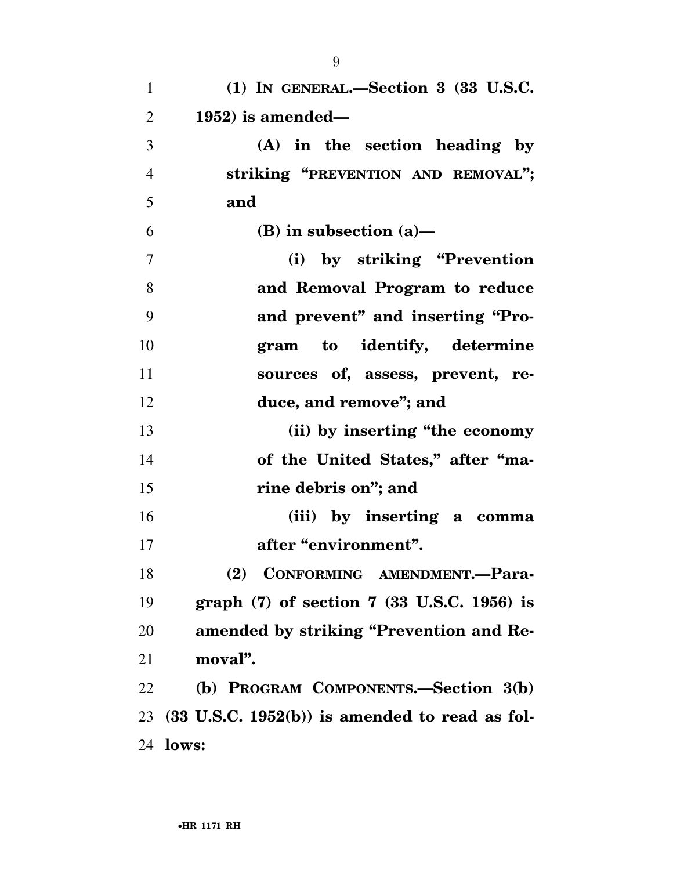| $\mathbf{1}$   | $(1)$ In GENERAL.—Section 3 $(33 \text{ U.S.C.})$         |
|----------------|-----------------------------------------------------------|
| $\overline{2}$ | $1952$ ) is amended—                                      |
| 3              | (A) in the section heading by                             |
| $\overline{4}$ | striking "PREVENTION AND REMOVAL";                        |
| 5              | and                                                       |
| 6              | (B) in subsection $(a)$ —                                 |
| 7              | (i) by striking "Prevention"                              |
| 8              | and Removal Program to reduce                             |
| 9              | and prevent" and inserting "Pro-                          |
| 10             | gram to identify, determine                               |
| 11             | sources of, assess, prevent, re-                          |
| 12             | duce, and remove"; and                                    |
| 13             | (ii) by inserting "the economy                            |
| 14             | of the United States," after "ma-                         |
| 15             | rine debris on"; and                                      |
| 16             | (iii) by inserting a comma                                |
| 17             | after "environment".                                      |
| 18             | (2) CONFORMING AMENDMENT.-Para-                           |
| 19             | graph $(7)$ of section $7$ $(33 \text{ U.S.C. } 1956)$ is |
| 20             | amended by striking "Prevention and Re-                   |
| 21             | moval".                                                   |
| 22             | (b) PROGRAM COMPONENTS.-Section 3(b)                      |
|                | $23$ (33 U.S.C. 1952(b)) is amended to read as fol-       |
|                | 24 <b>lows:</b>                                           |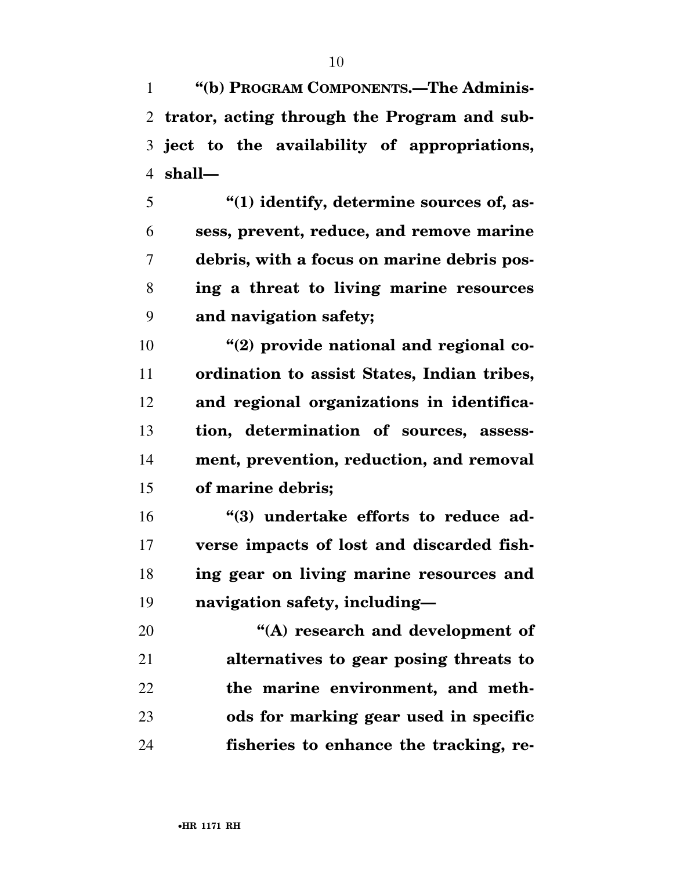**''(b) PROGRAM COMPONENTS.—The Adminis- trator, acting through the Program and sub- ject to the availability of appropriations, shall—** 

 **''(1) identify, determine sources of, as- sess, prevent, reduce, and remove marine debris, with a focus on marine debris pos- ing a threat to living marine resources and navigation safety;** 

**''(2) provide national and regional co- ordination to assist States, Indian tribes, and regional organizations in identifica- tion, determination of sources, assess- ment, prevention, reduction, and removal of marine debris;** 

**''(3)** undertake efforts to reduce ad- **verse impacts of lost and discarded fish- ing gear on living marine resources and navigation safety, including—** 

 **''(A) research and development of alternatives to gear posing threats to the marine environment, and meth- ods for marking gear used in specific fisheries to enhance the tracking, re-**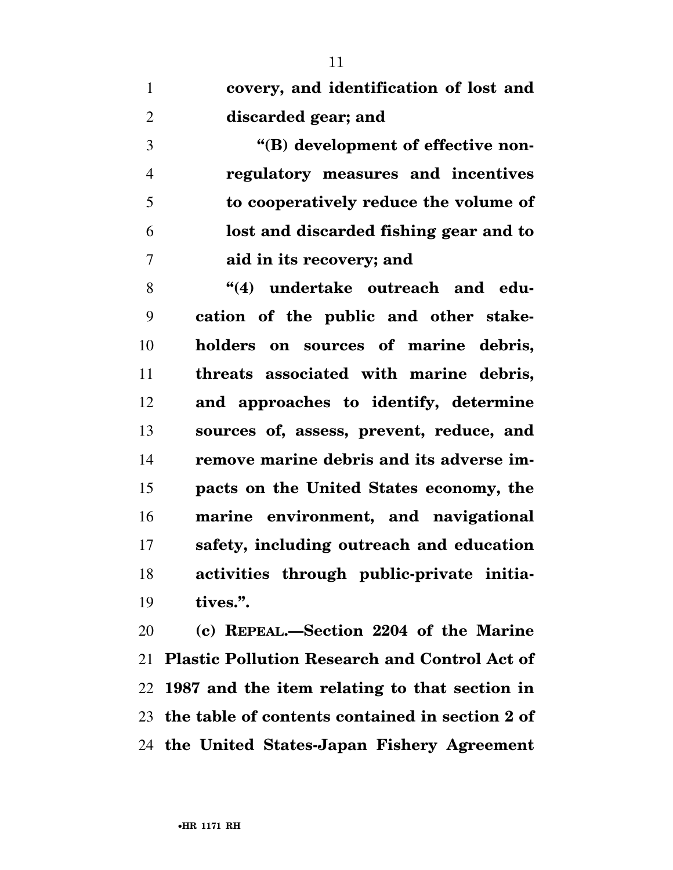| covery, and identification of lost and |
|----------------------------------------|
| discarded gear; and                    |

 **''(B) development of effective non- regulatory measures and incentives to cooperatively reduce the volume of lost and discarded fishing gear and to aid in its recovery; and** 

8 (4) undertake outreach and edu- **cation of the public and other stake- holders on sources of marine debris, threats associated with marine debris, and approaches to identify, determine sources of, assess, prevent, reduce, and remove marine debris and its adverse im- pacts on the United States economy, the marine environment, and navigational safety, including outreach and education activities through public-private initia-tives.''.** 

 **(c) REPEAL.—Section 2204 of the Marine Plastic Pollution Research and Control Act of 1987 and the item relating to that section in the table of contents contained in section 2 of the United States-Japan Fishery Agreement**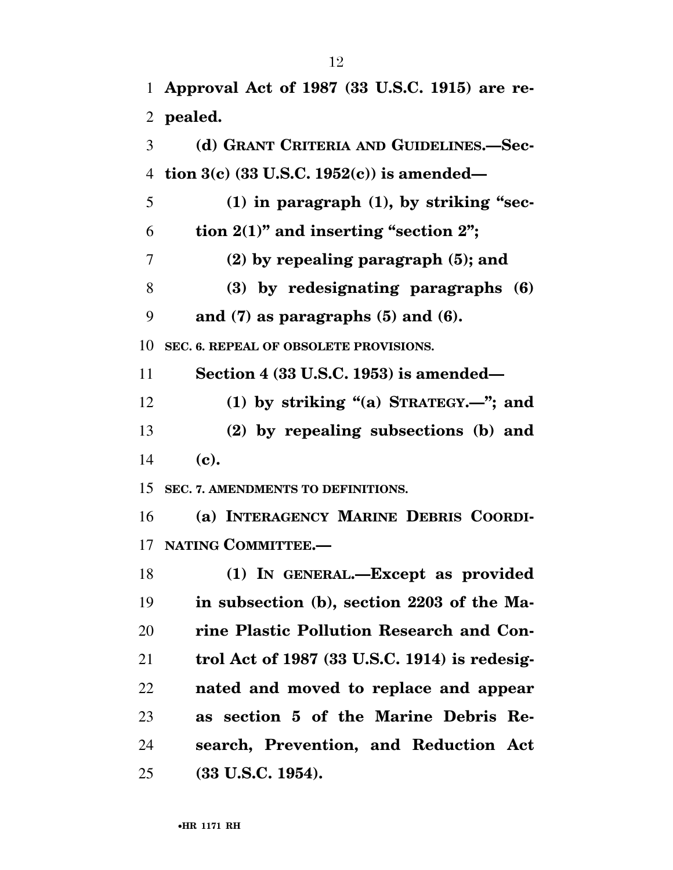**Approval Act of 1987 (33 U.S.C. 1915) are re-**

**pealed.** 

 **(d) GRANT CRITERIA AND GUIDELINES.—Sec- tion 3(c) (33 U.S.C. 1952(c)) is amended— (1) in paragraph (1), by striking ''sec-** $6 \t{tion } 2(1)''$  and inserting "section 2"; **(2) by repealing paragraph (5); and (3) by redesignating paragraphs (6) and (7) as paragraphs (5) and (6). SEC. 6. REPEAL OF OBSOLETE PROVISIONS. Section 4 (33 U.S.C. 1953) is amended— (1) by striking ''(a) STRATEGY.—''; and (2) by repealing subsections (b) and (c). SEC. 7. AMENDMENTS TO DEFINITIONS. (a) INTERAGENCY MARINE DEBRIS COORDI- NATING COMMITTEE.— (1) IN GENERAL.—Except as provided in subsection (b), section 2203 of the Ma- rine Plastic Pollution Research and Con- trol Act of 1987 (33 U.S.C. 1914) is redesig- nated and moved to replace and appear as section 5 of the Marine Debris Re- search, Prevention, and Reduction Act (33 U.S.C. 1954).**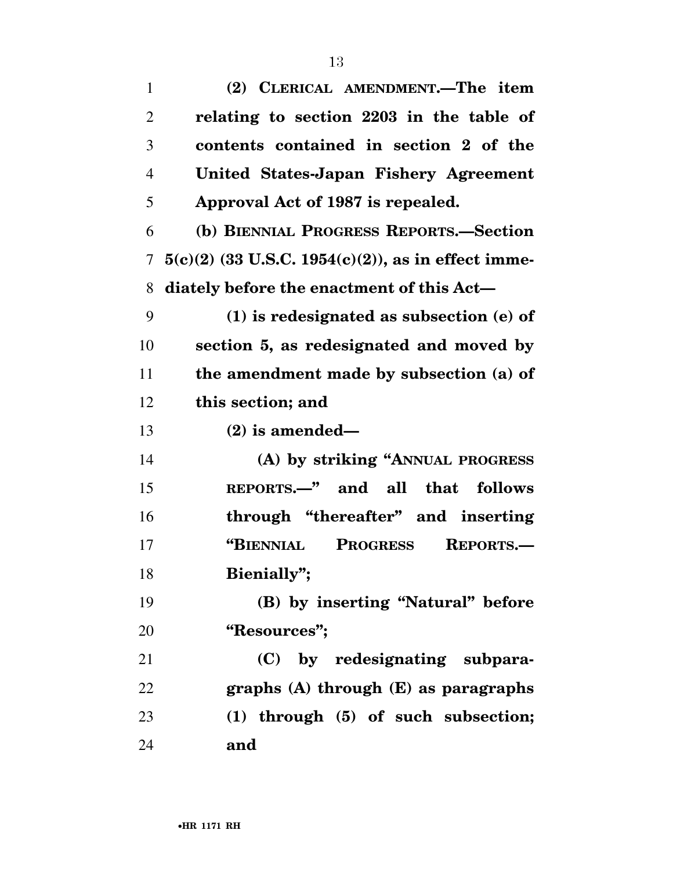| $\mathbf{1}$   | (2) CLERICAL AMENDMENT.—The item                        |
|----------------|---------------------------------------------------------|
| $\overline{2}$ | relating to section 2203 in the table of                |
| 3              | contents contained in section 2 of the                  |
| $\overline{4}$ | United States-Japan Fishery Agreement                   |
| 5              | Approval Act of 1987 is repealed.                       |
| 6              | (b) BIENNIAL PROGRESS REPORTS.-Section                  |
| 7              | $5(c)(2)$ (33 U.S.C. 1954(c)(2)), as in effect imme-    |
| 8              | diately before the enactment of this Act—               |
| 9              | $(1)$ is redesignated as subsection $(e)$ of            |
| 10             | section 5, as redesignated and moved by                 |
| 11             | the amendment made by subsection (a) of                 |
| 12             | this section; and                                       |
| 13             | $(2)$ is amended—                                       |
| 14             | (A) by striking "ANNUAL PROGRESS                        |
| 15             | REPORTS.—" and all that<br>follows                      |
| 16             | through "thereafter" and inserting                      |
| 17             | <b>PROGRESS</b><br><b>"BIENNIAL</b><br><b>REPORTS.-</b> |
| 18             | Bienially";                                             |
| 19             | (B) by inserting "Natural" before                       |
| 20             | "Resources";                                            |
| 21             | (C) by redesignating subpara-                           |
| 22             | graphs $(A)$ through $(E)$ as paragraphs                |
| 23             | (1) through (5) of such subsection;                     |
| 24             | and                                                     |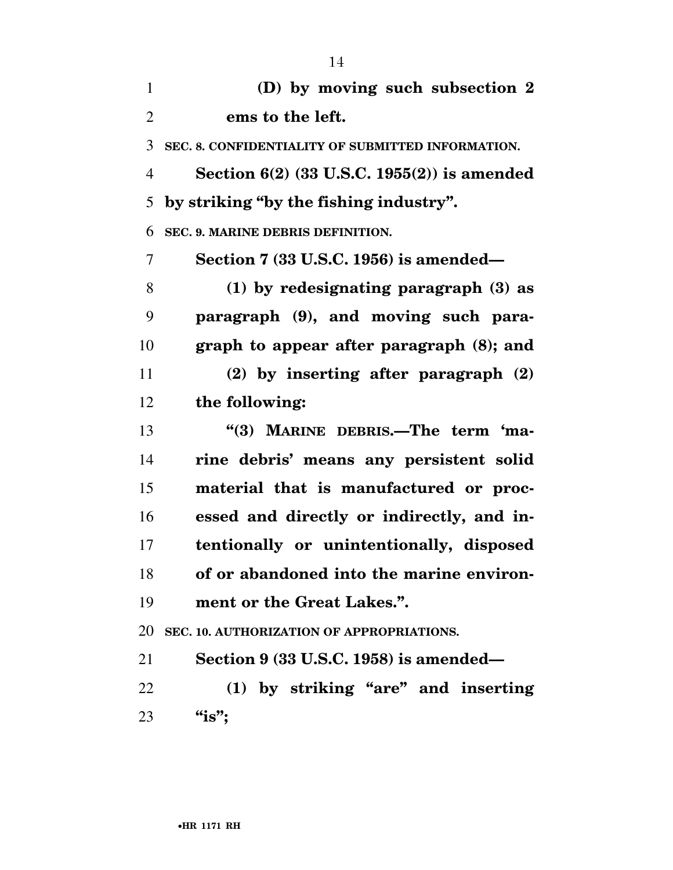| $\mathbf{1}$   | (D) by moving such subsection 2                   |
|----------------|---------------------------------------------------|
| $\overline{2}$ | ems to the left.                                  |
| 3              | SEC. 8. CONFIDENTIALITY OF SUBMITTED INFORMATION. |
| 4              | Section $6(2)$ (33 U.S.C. 1955 $(2)$ ) is amended |
| 5              | by striking "by the fishing industry".            |
| 6              | SEC. 9. MARINE DEBRIS DEFINITION.                 |
| $\overline{7}$ | Section 7 (33 U.S.C. 1956) is amended—            |
| 8              | $(1)$ by redesignating paragraph $(3)$ as         |
| 9              | paragraph (9), and moving such para-              |
| 10             | graph to appear after paragraph (8); and          |
| 11             | $(2)$ by inserting after paragraph $(2)$          |
| 12             | the following:                                    |
| 13             | "(3) MARINE DEBRIS.—The term 'ma-                 |
| 14             | rine debris' means any persistent solid           |
| 15             | material that is manufactured or proc-            |
| 16             | essed and directly or indirectly, and in-         |
| 17             | tentionally or unintentionally, disposed          |
| 18             | of or abandoned into the marine environ-          |
| 19             | ment or the Great Lakes.".                        |
| 20             | SEC. 10. AUTHORIZATION OF APPROPRIATIONS.         |
| 21             | Section $9(33 \text{ U.S.C. } 1958)$ is amended—  |
| 22             | (1) by striking "are" and inserting               |
| 23             | "is";                                             |
|                |                                                   |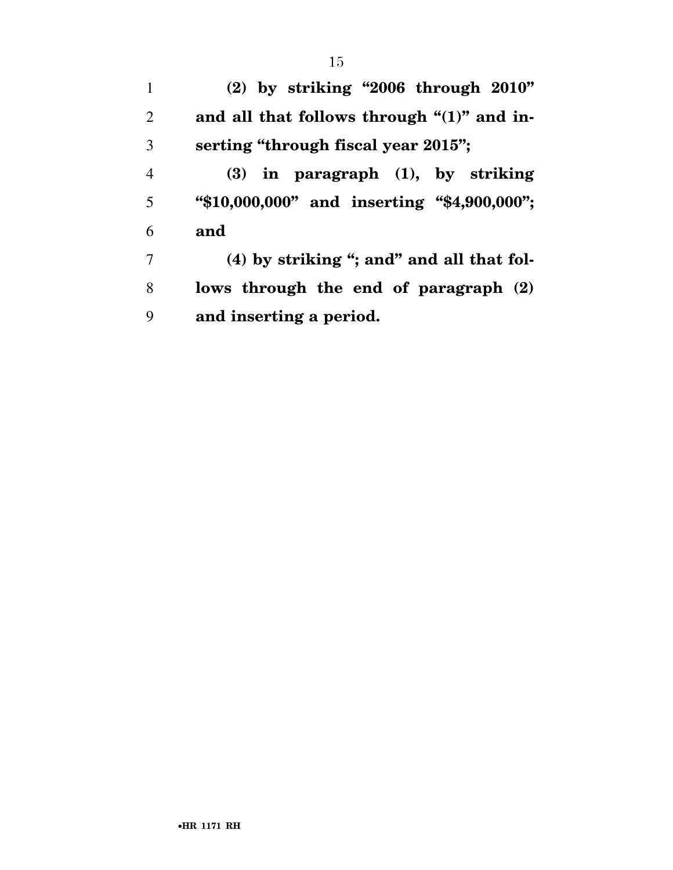**(2) by striking ''2006 through 2010'' and all that follows through "(1)" and in- serting ''through fiscal year 2015''; (3) in paragraph (1), by striking ''\$10,000,000'' and inserting ''\$4,900,000''; and (4) by striking ''; and'' and all that fol-lows through the end of paragraph (2)** 

**and inserting a period.**